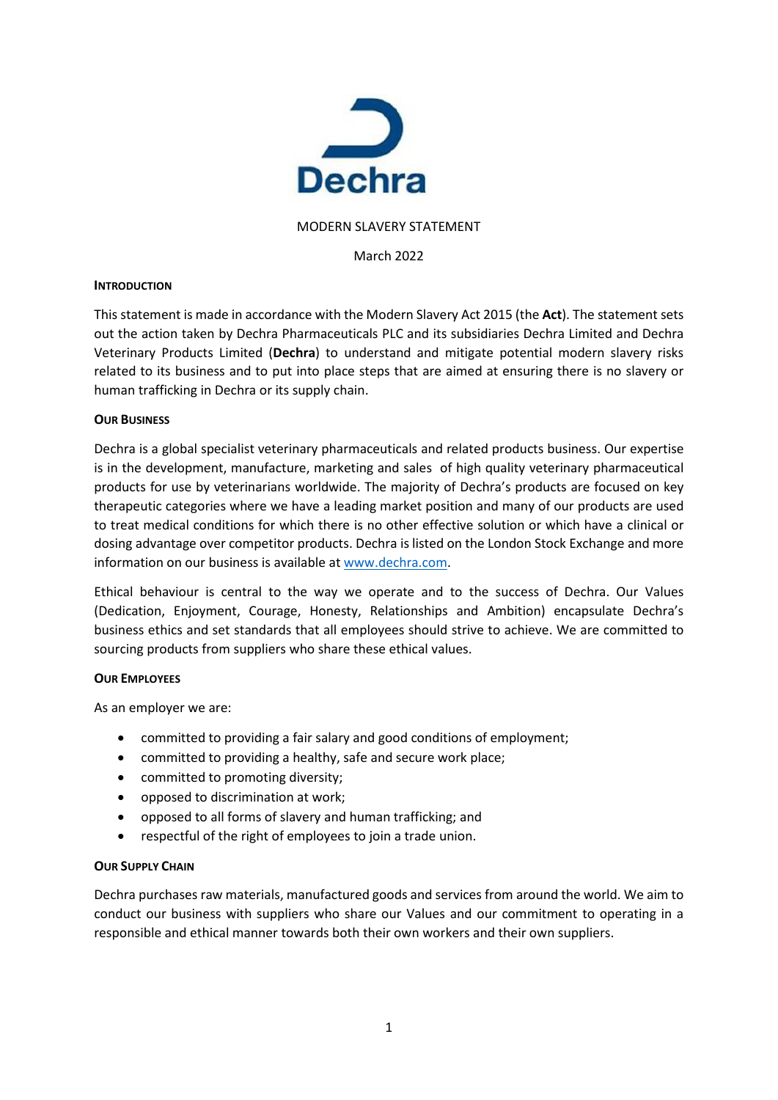

### MODERN SLAVERY STATEMENT

## March 2022

## **INTRODUCTION**

This statement is made in accordance with the Modern Slavery Act 2015 (the **Act**). The statement sets out the action taken by Dechra Pharmaceuticals PLC and its subsidiaries Dechra Limited and Dechra Veterinary Products Limited (**Dechra**) to understand and mitigate potential modern slavery risks related to its business and to put into place steps that are aimed at ensuring there is no slavery or human trafficking in Dechra or its supply chain.

## **OUR BUSINESS**

Dechra is a global specialist veterinary pharmaceuticals and related products business. Our expertise is in the development, manufacture, marketing and sales of high quality veterinary pharmaceutical products for use by veterinarians worldwide. The majority of Dechra's products are focused on key therapeutic categories where we have a leading market position and many of our products are used to treat medical conditions for which there is no other effective solution or which have a clinical or dosing advantage over competitor products. Dechra is listed on the London Stock Exchange and more information on our business is available at [www.dechra.com.](http://www.dechra.com/)

Ethical behaviour is central to the way we operate and to the success of Dechra. Our Values (Dedication, Enjoyment, Courage, Honesty, Relationships and Ambition) encapsulate Dechra's business ethics and set standards that all employees should strive to achieve. We are committed to sourcing products from suppliers who share these ethical values.

# **OUR EMPLOYEES**

As an employer we are:

- committed to providing a fair salary and good conditions of employment;
- committed to providing a healthy, safe and secure work place;
- committed to promoting diversity;
- opposed to discrimination at work;
- opposed to all forms of slavery and human trafficking; and
- respectful of the right of employees to join a trade union.

### **OUR SUPPLY CHAIN**

Dechra purchases raw materials, manufactured goods and services from around the world. We aim to conduct our business with suppliers who share our Values and our commitment to operating in a responsible and ethical manner towards both their own workers and their own suppliers.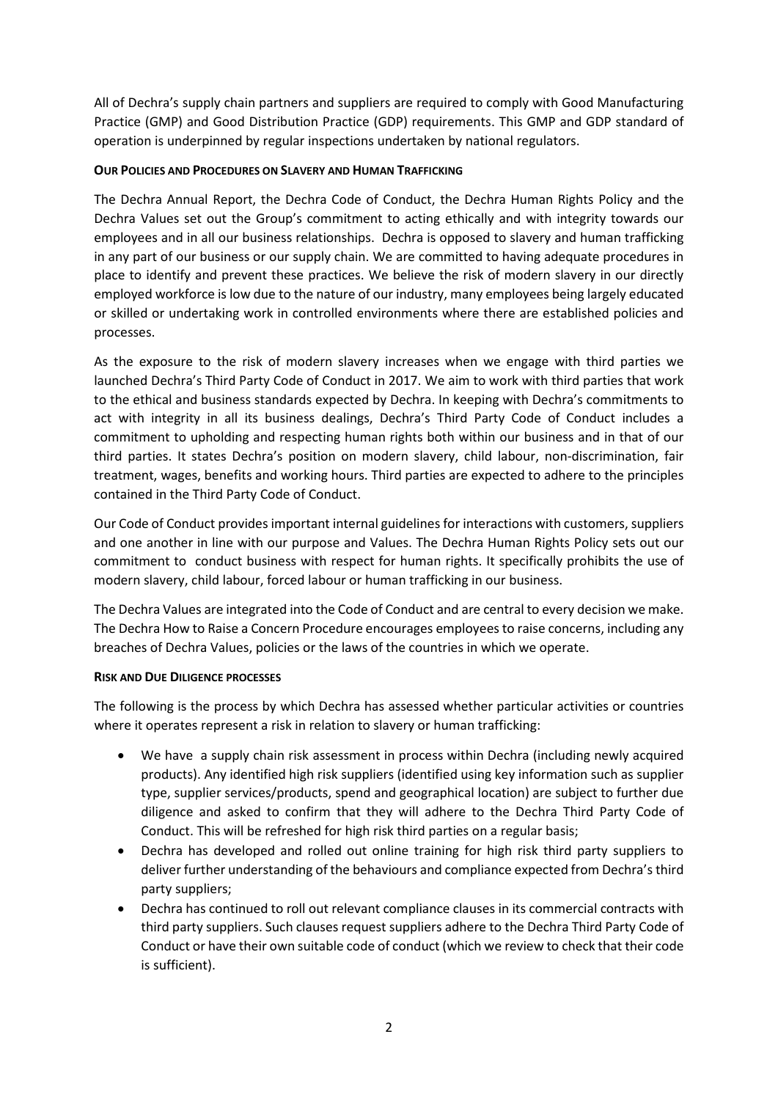All of Dechra's supply chain partners and suppliers are required to comply with Good Manufacturing Practice (GMP) and Good Distribution Practice (GDP) requirements. This GMP and GDP standard of operation is underpinned by regular inspections undertaken by national regulators.

# **OUR POLICIES AND PROCEDURES ON SLAVERY AND HUMAN TRAFFICKING**

The Dechra Annual Report, the Dechra Code of Conduct, the Dechra Human Rights Policy and the Dechra Values set out the Group's commitment to acting ethically and with integrity towards our employees and in all our business relationships. Dechra is opposed to slavery and human trafficking in any part of our business or our supply chain. We are committed to having adequate procedures in place to identify and prevent these practices. We believe the risk of modern slavery in our directly employed workforce is low due to the nature of our industry, many employees being largely educated or skilled or undertaking work in controlled environments where there are established policies and processes.

As the exposure to the risk of modern slavery increases when we engage with third parties we launched Dechra's Third Party Code of Conduct in 2017. We aim to work with third parties that work to the ethical and business standards expected by Dechra. In keeping with Dechra's commitments to act with integrity in all its business dealings, Dechra's Third Party Code of Conduct includes a commitment to upholding and respecting human rights both within our business and in that of our third parties. It states Dechra's position on modern slavery, child labour, non-discrimination, fair treatment, wages, benefits and working hours. Third parties are expected to adhere to the principles contained in the Third Party Code of Conduct.

Our Code of Conduct provides important internal guidelines for interactions with customers, suppliers and one another in line with our purpose and Values. The Dechra Human Rights Policy sets out our commitment to conduct business with respect for human rights. It specifically prohibits the use of modern slavery, child labour, forced labour or human trafficking in our business.

The Dechra Values are integrated into the Code of Conduct and are central to every decision we make. The Dechra How to Raise a Concern Procedure encourages employees to raise concerns, including any breaches of Dechra Values, policies or the laws of the countries in which we operate.

# **RISK AND DUE DILIGENCE PROCESSES**

The following is the process by which Dechra has assessed whether particular activities or countries where it operates represent a risk in relation to slavery or human trafficking:

- We have a supply chain risk assessment in process within Dechra (including newly acquired products). Any identified high risk suppliers (identified using key information such as supplier type, supplier services/products, spend and geographical location) are subject to further due diligence and asked to confirm that they will adhere to the Dechra Third Party Code of Conduct. This will be refreshed for high risk third parties on a regular basis;
- Dechra has developed and rolled out online training for high risk third party suppliers to deliver further understanding of the behaviours and compliance expected from Dechra's third party suppliers;
- Dechra has continued to roll out relevant compliance clauses in its commercial contracts with third party suppliers. Such clauses request suppliers adhere to the Dechra Third Party Code of Conduct or have their own suitable code of conduct (which we review to check that their code is sufficient).